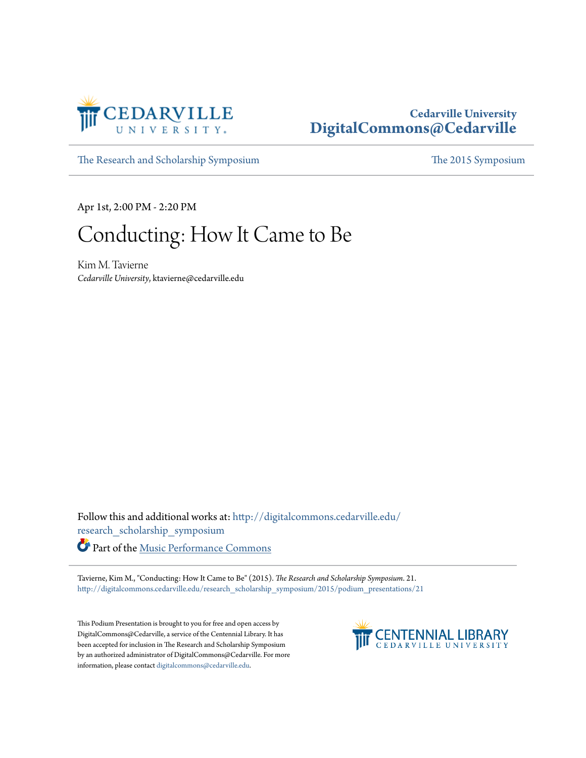

## **Cedarville University [DigitalCommons@Cedarville](http://digitalcommons.cedarville.edu?utm_source=digitalcommons.cedarville.edu%2Fresearch_scholarship_symposium%2F2015%2Fpodium_presentations%2F21&utm_medium=PDF&utm_campaign=PDFCoverPages)**

[The Research and Scholarship Symposium](http://digitalcommons.cedarville.edu/research_scholarship_symposium?utm_source=digitalcommons.cedarville.edu%2Fresearch_scholarship_symposium%2F2015%2Fpodium_presentations%2F21&utm_medium=PDF&utm_campaign=PDFCoverPages) [The 2015 Symposium](http://digitalcommons.cedarville.edu/research_scholarship_symposium/2015?utm_source=digitalcommons.cedarville.edu%2Fresearch_scholarship_symposium%2F2015%2Fpodium_presentations%2F21&utm_medium=PDF&utm_campaign=PDFCoverPages)

Apr 1st, 2:00 PM - 2:20 PM

## Conducting: How It Came to Be

Kim M. Tavierne *Cedarville University*, ktavierne@cedarville.edu

Follow this and additional works at: [http://digitalcommons.cedarville.edu/](http://digitalcommons.cedarville.edu/research_scholarship_symposium?utm_source=digitalcommons.cedarville.edu%2Fresearch_scholarship_symposium%2F2015%2Fpodium_presentations%2F21&utm_medium=PDF&utm_campaign=PDFCoverPages) [research\\_scholarship\\_symposium](http://digitalcommons.cedarville.edu/research_scholarship_symposium?utm_source=digitalcommons.cedarville.edu%2Fresearch_scholarship_symposium%2F2015%2Fpodium_presentations%2F21&utm_medium=PDF&utm_campaign=PDFCoverPages) Part of the [Music Performance Commons](http://network.bepress.com/hgg/discipline/1128?utm_source=digitalcommons.cedarville.edu%2Fresearch_scholarship_symposium%2F2015%2Fpodium_presentations%2F21&utm_medium=PDF&utm_campaign=PDFCoverPages)

Tavierne, Kim M., "Conducting: How It Came to Be" (2015). *The Research and Scholarship Symposium*. 21. [http://digitalcommons.cedarville.edu/research\\_scholarship\\_symposium/2015/podium\\_presentations/21](http://digitalcommons.cedarville.edu/research_scholarship_symposium/2015/podium_presentations/21?utm_source=digitalcommons.cedarville.edu%2Fresearch_scholarship_symposium%2F2015%2Fpodium_presentations%2F21&utm_medium=PDF&utm_campaign=PDFCoverPages)

This Podium Presentation is brought to you for free and open access by DigitalCommons@Cedarville, a service of the Centennial Library. It has been accepted for inclusion in The Research and Scholarship Symposium by an authorized administrator of DigitalCommons@Cedarville. For more information, please contact [digitalcommons@cedarville.edu.](mailto:digitalcommons@cedarville.edu)

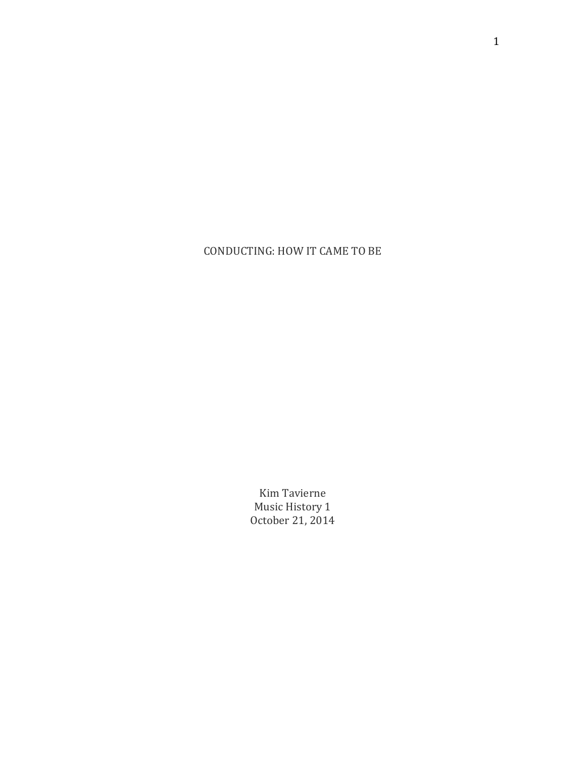CONDUCTING: HOW IT CAME TO BE

Kim Tavierne Music History 1 October 21, 2014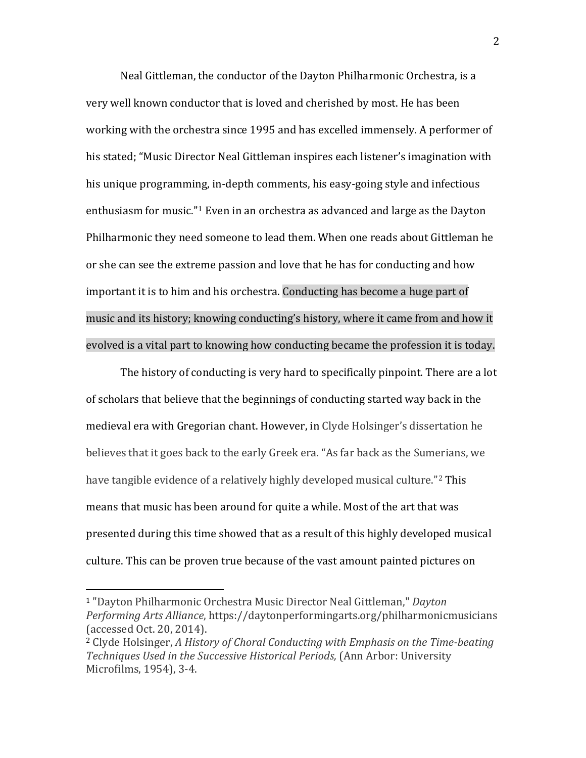Neal Gittleman, the conductor of the Dayton Philharmonic Orchestra, is a very well known conductor that is loved and cherished by most. He has been working with the orchestra since 1995 and has excelled immensely. A performer of his stated; "Music Director Neal Gittleman inspires each listener's imagination with his unique programming, in-depth comments, his easy-going style and infectious enthusiasm for music."[1](#page-2-0) Even in an orchestra as advanced and large as the Dayton Philharmonic they need someone to lead them. When one reads about Gittleman he or she can see the extreme passion and love that he has for conducting and how important it is to him and his orchestra. Conducting has become a huge part of music and its history; knowing conducting's history, where it came from and how it evolved is a vital part to knowing how conducting became the profession it is today.

The history of conducting is very hard to specifically pinpoint. There are a lot of scholars that believe that the beginnings of conducting started way back in the medieval era with Gregorian chant. However, in Clyde Holsinger's dissertation he believes that it goes back to the early Greek era. "As far back as the Sumerians, we have tangible evidence of a relatively highly developed musical culture."<sup>[2](#page-2-1)</sup> This means that music has been around for quite a while. Most of the art that was presented during this time showed that as a result of this highly developed musical culture. This can be proven true because of the vast amount painted pictures on

2

<span id="page-2-0"></span><sup>1</sup> "Dayton Philharmonic Orchestra Music Director Neal Gittleman," *Dayton Performing Arts Alliance*, https://daytonperformingarts.org/philharmonicmusicians (accessed Oct. 20, 2014). i<br>I

<span id="page-2-1"></span><sup>2</sup> Clyde Holsinger, *A History of Choral Conducting with Emphasis on the Time-beating Techniques Used in the Successive Historical Periods,* (Ann Arbor: University Microfilms, 1954), 3-4.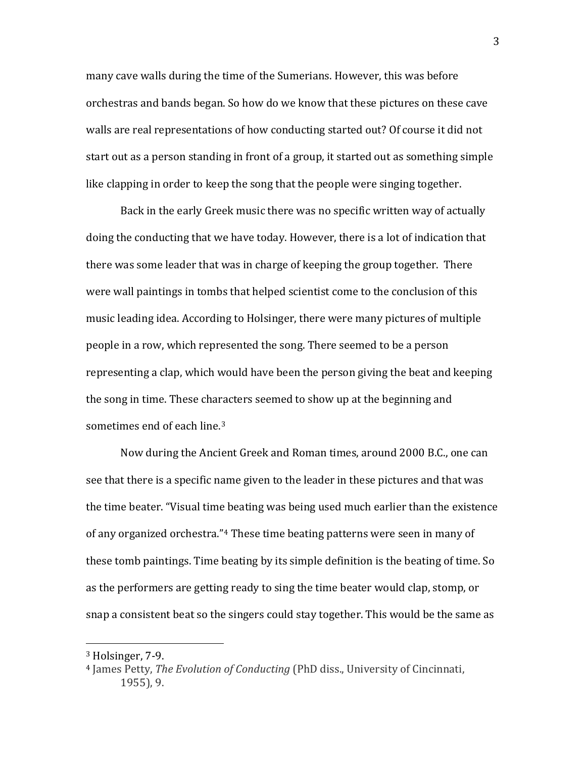many cave walls during the time of the Sumerians. However, this was before orchestras and bands began. So how do we know that these pictures on these cave walls are real representations of how conducting started out? Of course it did not start out as a person standing in front of a group, it started out as something simple like clapping in order to keep the song that the people were singing together.

Back in the early Greek music there was no specific written way of actually doing the conducting that we have today. However, there is a lot of indication that there was some leader that was in charge of keeping the group together. There were wall paintings in tombs that helped scientist come to the conclusion of this music leading idea. According to Holsinger, there were many pictures of multiple people in a row, which represented the song. There seemed to be a person representing a clap, which would have been the person giving the beat and keeping the song in time. These characters seemed to show up at the beginning and sometimes end of each line. [3](#page-3-0)

Now during the Ancient Greek and Roman times, around 2000 B.C., one can see that there is a specific name given to the leader in these pictures and that was the time beater. "Visual time beating was being used much earlier than the existence of any organized orchestra."[4](#page-3-1) These time beating patterns were seen in many of these tomb paintings. Time beating by its simple definition is the beating of time. So as the performers are getting ready to sing the time beater would clap, stomp, or snap a consistent beat so the singers could stay together. This would be the same as

<span id="page-3-0"></span><sup>3</sup> Holsinger, 7-9. i<br>I

<span id="page-3-1"></span><sup>4</sup> James Petty, *The Evolution of Conducting* (PhD diss., University of Cincinnati, 1955), 9.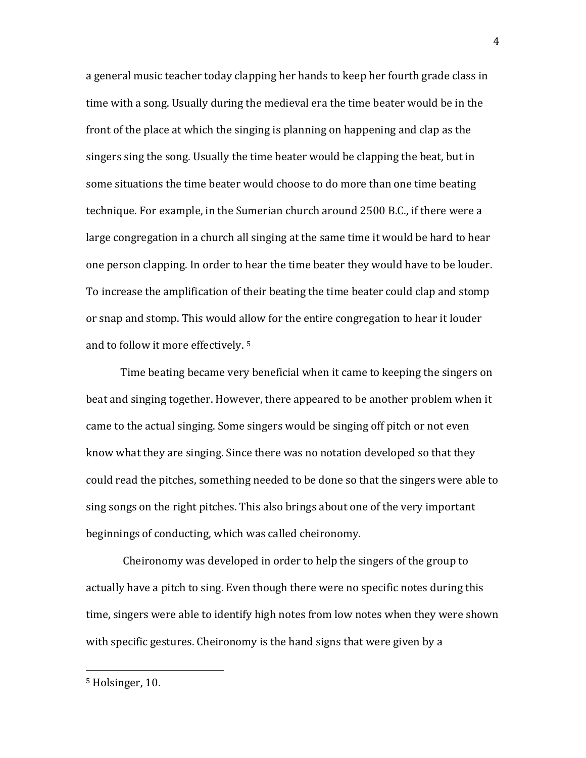a general music teacher today clapping her hands to keep her fourth grade class in time with a song. Usually during the medieval era the time beater would be in the front of the place at which the singing is planning on happening and clap as the singers sing the song. Usually the time beater would be clapping the beat, but in some situations the time beater would choose to do more than one time beating technique. For example, in the Sumerian church around 2500 B.C., if there were a large congregation in a church all singing at the same time it would be hard to hear one person clapping. In order to hear the time beater they would have to be louder. To increase the amplification of their beating the time beater could clap and stomp or snap and stomp. This would allow for the entire congregation to hear it louder and to follow it more effectively. [5](#page-4-0)

Time beating became very beneficial when it came to keeping the singers on beat and singing together. However, there appeared to be another problem when it came to the actual singing. Some singers would be singing off pitch or not even know what they are singing. Since there was no notation developed so that they could read the pitches, something needed to be done so that the singers were able to sing songs on the right pitches. This also brings about one of the very important beginnings of conducting, which was called cheironomy.

Cheironomy was developed in order to help the singers of the group to actually have a pitch to sing. Even though there were no specific notes during this time, singers were able to identify high notes from low notes when they were shown with specific gestures. Cheironomy is the hand signs that were given by a

<span id="page-4-0"></span><sup>5</sup> Holsinger, 10. i<br>I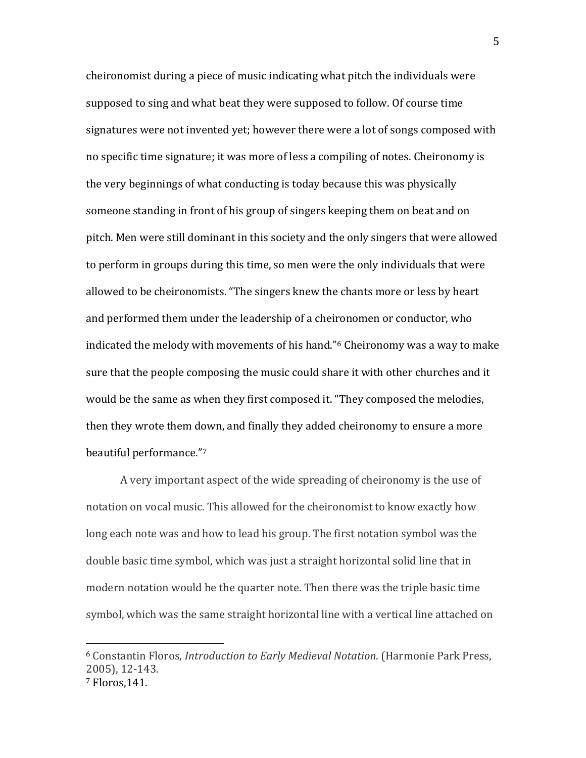cheironomist during a piece of music indicating what pitch the individuals were supposed to sing and what beat they were supposed to follow. Of course time signatures were not invented yet; however there were a lot of songs composed with no specific time signature; it was more of less a compiling of notes. Cheironomy is the very beginnings of what conducting is today because this was physically someone standing in front of his group of singers keeping them on beat and on pitch. Men were still dominant in this society and the only singers that were allowed to perform in groups during this time, so men were the only individuals that were allowed to be cheironomists. "The singers knew the chants more or less by heart and performed them under the leadership of a cheironomen or conductor, who indicated the melody with movements of his hand."[6](#page-5-0) Cheironomy was a way to make sure that the people composing the music could share it with other churches and it would be the same as when they first composed it. "They composed the melodies, then they wrote them down, and finally they added cheironomy to ensure a more beautiful performance."[7](#page-5-1)

A very important aspect of the wide spreading of cheironomy is the use of notation on vocal music. This allowed for the cheironomist to know exactly how long each note was and how to lead his group. The first notation symbol was the double basic time symbol, which was just a straight horizontal solid line that in modern notation would be the quarter note. Then there was the triple basic time symbol, which was the same straight horizontal line with a vertical line attached on

<span id="page-5-1"></span><span id="page-5-0"></span><sup>6</sup> Constantin Floros, *Introduction to Early Medieval Notation*. (Harmonie Park Press, 2005), 12-143. <sup>7</sup> Floros,141. i<br>I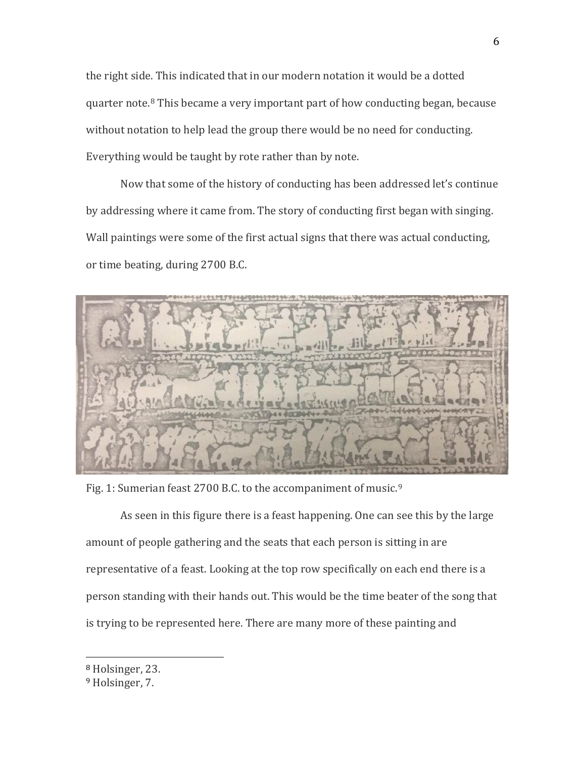the right side. This indicated that in our modern notation it would be a dotted quarter note. [8](#page-6-0) This became a very important part of how conducting began, because without notation to help lead the group there would be no need for conducting. Everything would be taught by rote rather than by note.

Now that some of the history of conducting has been addressed let's continue by addressing where it came from. The story of conducting first began with singing. Wall paintings were some of the first actual signs that there was actual conducting, or time beating, during 2700 B.C.



Fig. 1: Sumerian feast 2700 B.C. to the accompaniment of music.<sup>[9](#page-6-1)</sup>

As seen in this figure there is a feast happening. One can see this by the large amount of people gathering and the seats that each person is sitting in are representative of a feast. Looking at the top row specifically on each end there is a person standing with their hands out. This would be the time beater of the song that is trying to be represented here. There are many more of these painting and

<span id="page-6-0"></span><sup>8</sup> Holsinger, 23. i<br>I

<span id="page-6-1"></span><sup>9</sup> Holsinger, 7.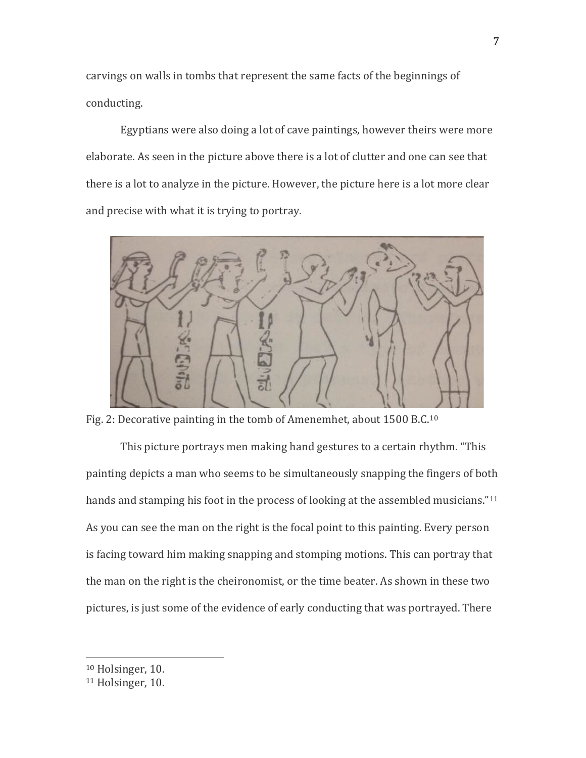carvings on walls in tombs that represent the same facts of the beginnings of conducting.

Egyptians were also doing a lot of cave paintings, however theirs were more elaborate. As seen in the picture above there is a lot of clutter and one can see that there is a lot to analyze in the picture. However, the picture here is a lot more clear and precise with what it is trying to portray.



Fig. 2: Decorative painting in the tomb of Amenemhet, about 1500 B.C.[10](#page-7-0)

This picture portrays men making hand gestures to a certain rhythm. "This painting depicts a man who seems to be simultaneously snapping the fingers of both hands and stamping his foot in the process of looking at the assembled musicians."<sup>[11](#page-7-1)</sup> As you can see the man on the right is the focal point to this painting. Every person is facing toward him making snapping and stomping motions. This can portray that the man on the right is the cheironomist, or the time beater. As shown in these two pictures, is just some of the evidence of early conducting that was portrayed. There

<span id="page-7-0"></span><sup>&</sup>lt;sup>10</sup> Holsinger, 10. i<br>I

<span id="page-7-1"></span><sup>11</sup> Holsinger, 10.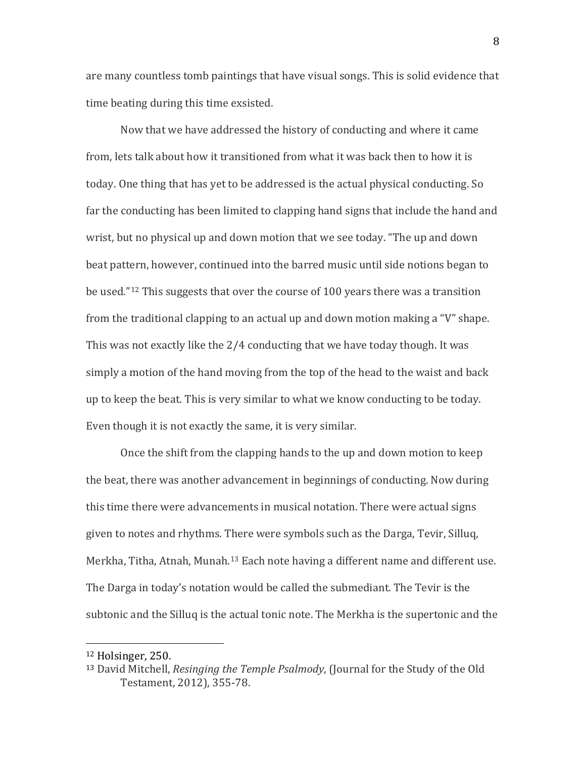are many countless tomb paintings that have visual songs. This is solid evidence that time beating during this time exsisted.

Now that we have addressed the history of conducting and where it came from, lets talk about how it transitioned from what it was back then to how it is today. One thing that has yet to be addressed is the actual physical conducting. So far the conducting has been limited to clapping hand signs that include the hand and wrist, but no physical up and down motion that we see today. "The up and down beat pattern, however, continued into the barred music until side notions began to be used."[12](#page-8-0) This suggests that over the course of 100 years there was a transition from the traditional clapping to an actual up and down motion making a "V" shape. This was not exactly like the 2/4 conducting that we have today though. It was simply a motion of the hand moving from the top of the head to the waist and back up to keep the beat. This is very similar to what we know conducting to be today. Even though it is not exactly the same, it is very similar.

Once the shift from the clapping hands to the up and down motion to keep the beat, there was another advancement in beginnings of conducting. Now during this time there were advancements in musical notation. There were actual signs given to notes and rhythms. There were symbols such as the Darga, Tevir, Silluq, Merkha, Titha, Atnah, Munah.<sup>[13](#page-8-1)</sup> Each note having a different name and different use. The Darga in today's notation would be called the submediant. The Tevir is the subtonic and the Silluq is the actual tonic note. The Merkha is the supertonic and the

i<br>I

<span id="page-8-0"></span><sup>12</sup> Holsinger, 250.

<span id="page-8-1"></span><sup>13</sup> David Mitchell, *Resinging the Temple Psalmody*, (Journal for the Study of the Old Testament, 2012), 355-78.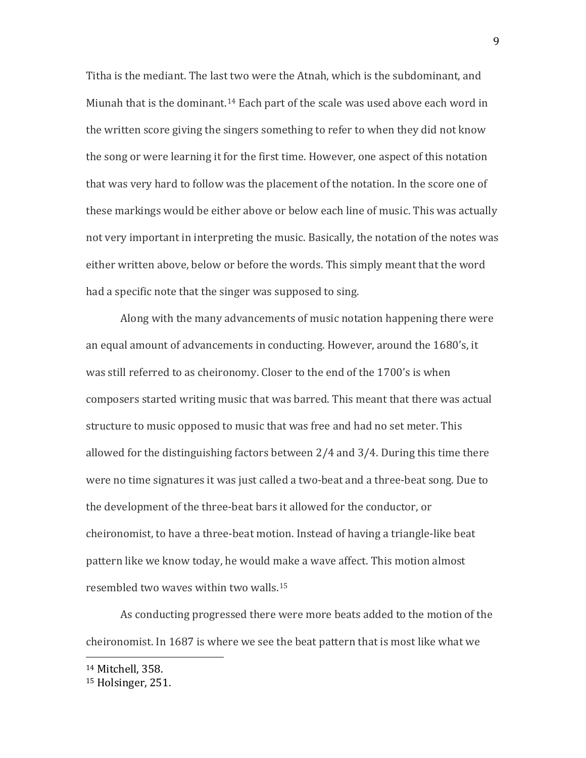Titha is the mediant. The last two were the Atnah, which is the subdominant, and Miunah that is the dominant.<sup>[14](#page-9-0)</sup> Each part of the scale was used above each word in the written score giving the singers something to refer to when they did not know the song or were learning it for the first time. However, one aspect of this notation that was very hard to follow was the placement of the notation. In the score one of these markings would be either above or below each line of music. This was actually not very important in interpreting the music. Basically, the notation of the notes was either written above, below or before the words. This simply meant that the word had a specific note that the singer was supposed to sing.

Along with the many advancements of music notation happening there were an equal amount of advancements in conducting. However, around the 1680's, it was still referred to as cheironomy. Closer to the end of the 1700's is when composers started writing music that was barred. This meant that there was actual structure to music opposed to music that was free and had no set meter. This allowed for the distinguishing factors between 2/4 and 3/4. During this time there were no time signatures it was just called a two-beat and a three-beat song. Due to the development of the three-beat bars it allowed for the conductor, or cheironomist, to have a three-beat motion. Instead of having a triangle-like beat pattern like we know today, he would make a wave affect. This motion almost resembled two waves within two walls.[15](#page-9-1)

As conducting progressed there were more beats added to the motion of the cheironomist. In 1687 is where we see the beat pattern that is most like what we

<sup>14</sup> Mitchell, 358. i<br>I

<span id="page-9-1"></span><span id="page-9-0"></span><sup>15</sup> Holsinger, 251.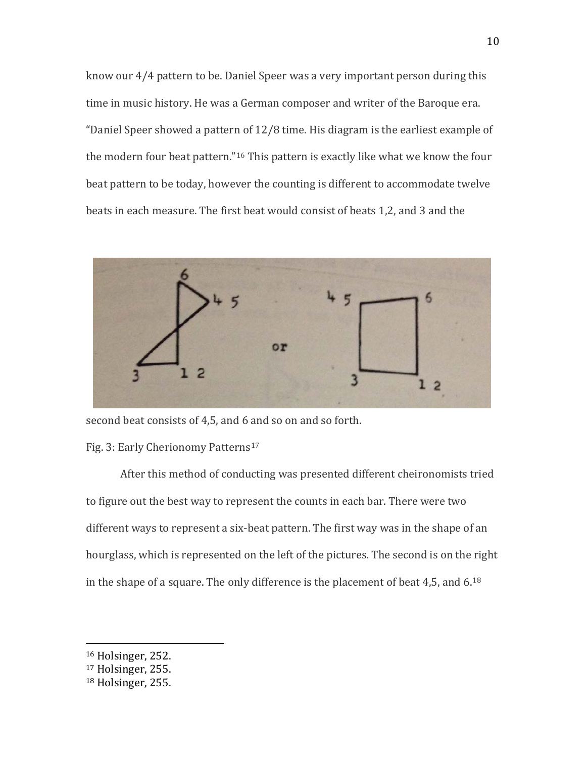know our 4/4 pattern to be. Daniel Speer was a very important person during this time in music history. He was a German composer and writer of the Baroque era. "Daniel Speer showed a pattern of 12/8 time. His diagram is the earliest example of the modern four beat pattern."[16](#page-10-0) This pattern is exactly like what we know the four beat pattern to be today, however the counting is different to accommodate twelve beats in each measure. The first beat would consist of beats 1,2, and 3 and the



second beat consists of 4,5, and 6 and so on and so forth.

## Fig. 3: Early Cherionomy Patterns<sup>[17](#page-10-1)</sup>

After this method of conducting was presented different cheironomists tried to figure out the best way to represent the counts in each bar. There were two different ways to represent a six-beat pattern. The first way was in the shape of an hourglass, which is represented on the left of the pictures. The second is on the right in the shape of a square. The only difference is the placement of beat 4,5, and 6. $^{18}$  $^{18}$  $^{18}$ 

<span id="page-10-0"></span><sup>16</sup> Holsinger, 252. i<br>I

<span id="page-10-1"></span><sup>17</sup> Holsinger, 255.

<span id="page-10-2"></span><sup>18</sup> Holsinger, 255.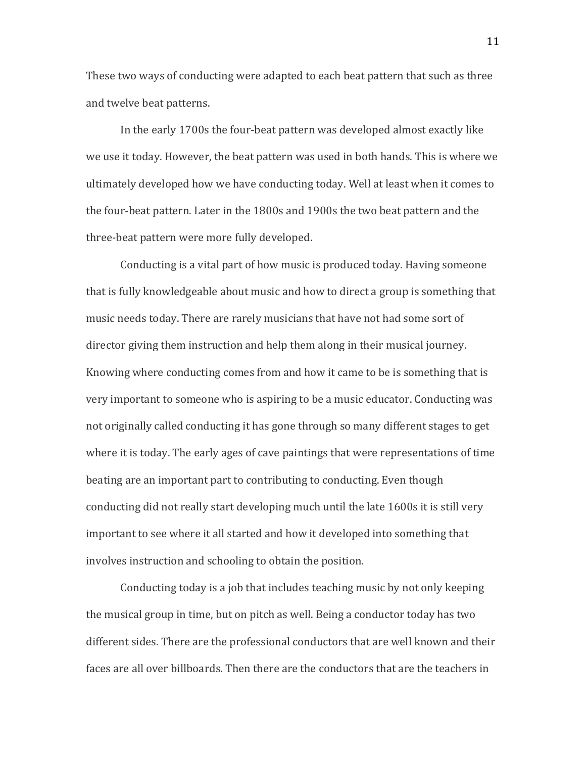These two ways of conducting were adapted to each beat pattern that such as three and twelve beat patterns.

In the early 1700s the four-beat pattern was developed almost exactly like we use it today. However, the beat pattern was used in both hands. This is where we ultimately developed how we have conducting today. Well at least when it comes to the four-beat pattern. Later in the 1800s and 1900s the two beat pattern and the three-beat pattern were more fully developed.

Conducting is a vital part of how music is produced today. Having someone that is fully knowledgeable about music and how to direct a group is something that music needs today. There are rarely musicians that have not had some sort of director giving them instruction and help them along in their musical journey. Knowing where conducting comes from and how it came to be is something that is very important to someone who is aspiring to be a music educator. Conducting was not originally called conducting it has gone through so many different stages to get where it is today. The early ages of cave paintings that were representations of time beating are an important part to contributing to conducting. Even though conducting did not really start developing much until the late 1600s it is still very important to see where it all started and how it developed into something that involves instruction and schooling to obtain the position.

Conducting today is a job that includes teaching music by not only keeping the musical group in time, but on pitch as well. Being a conductor today has two different sides. There are the professional conductors that are well known and their faces are all over billboards. Then there are the conductors that are the teachers in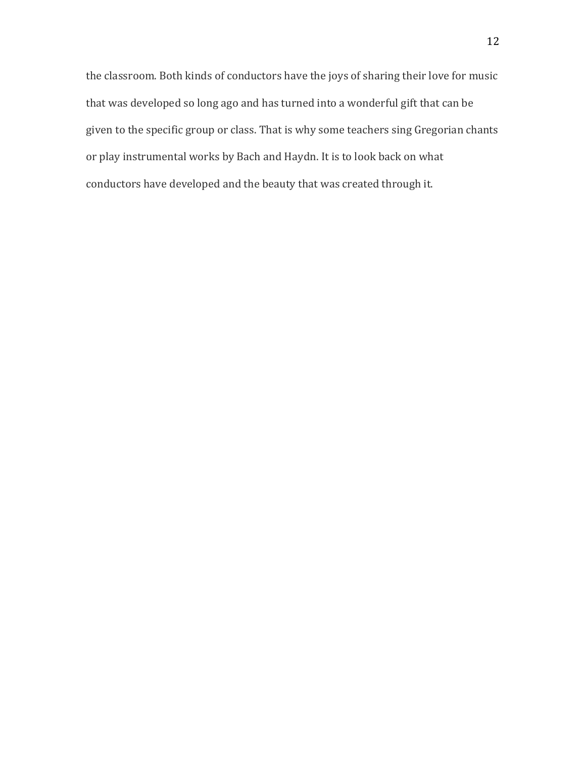the classroom. Both kinds of conductors have the joys of sharing their love for music that was developed so long ago and has turned into a wonderful gift that can be given to the specific group or class. That is why some teachers sing Gregorian chants or play instrumental works by Bach and Haydn. It is to look back on what conductors have developed and the beauty that was created through it.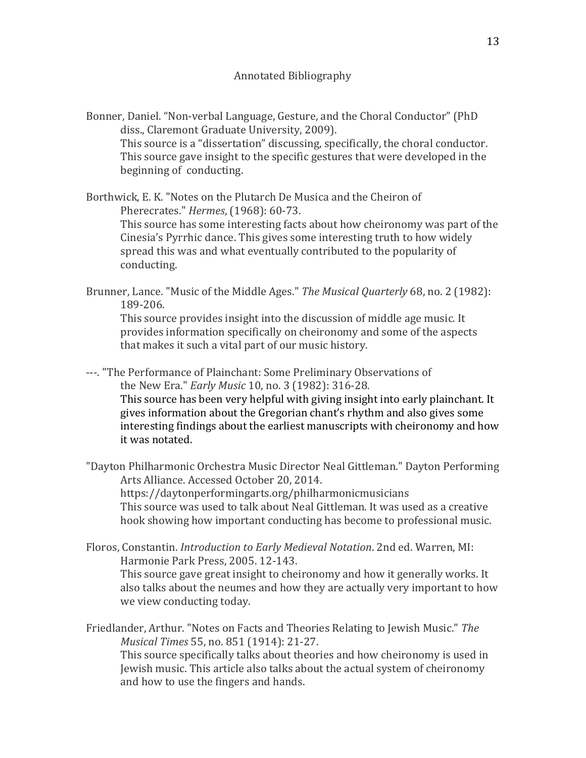Bonner, Daniel. "Non-verbal Language, Gesture, and the Choral Conductor" (PhD diss., Claremont Graduate University, 2009). This source is a "dissertation" discussing, specifically, the choral conductor. This source gave insight to the specific gestures that were developed in the beginning of conducting.

Borthwick, E. K. "Notes on the Plutarch De Musica and the Cheiron of Pherecrates." *Hermes*, (1968): 60-73. This source has some interesting facts about how cheironomy was part of the Cinesia's Pyrrhic dance. This gives some interesting truth to how widely spread this was and what eventually contributed to the popularity of conducting.

Brunner, Lance. "Music of the Middle Ages." *The Musical Quarterly* 68, no. 2 (1982): 189-206.

This source provides insight into the discussion of middle age music. It provides information specifically on cheironomy and some of the aspects that makes it such a vital part of our music history.

---. "The Performance of Plainchant: Some Preliminary Observations of the New Era." *Early Music* 10, no. 3 (1982): 316-28. This source has been very helpful with giving insight into early plainchant. It gives information about the Gregorian chant's rhythm and also gives some interesting findings about the earliest manuscripts with cheironomy and how it was notated.

- "Dayton Philharmonic Orchestra Music Director Neal Gittleman." Dayton Performing Arts Alliance. Accessed October 20, 2014. https://daytonperformingarts.org/philharmonicmusicians This source was used to talk about Neal Gittleman. It was used as a creative hook showing how important conducting has become to professional music.
- Floros, Constantin. *Introduction to Early Medieval Notation*. 2nd ed. Warren, MI: Harmonie Park Press, 2005. 12-143.

This source gave great insight to cheironomy and how it generally works. It also talks about the neumes and how they are actually very important to how we view conducting today.

Friedlander, Arthur. "Notes on Facts and Theories Relating to Jewish Music." *The Musical Times* 55, no. 851 (1914): 21-27. This source specifically talks about theories and how cheironomy is used in Jewish music. This article also talks about the actual system of cheironomy and how to use the fingers and hands.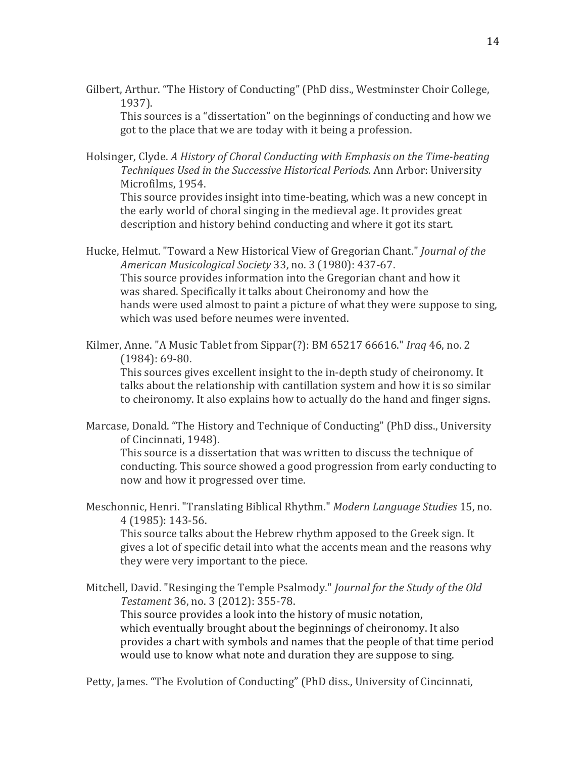Gilbert, Arthur. "The History of Conducting" (PhD diss., Westminster Choir College, 1937).

This sources is a "dissertation" on the beginnings of conducting and how we got to the place that we are today with it being a profession.

Holsinger, Clyde. *A History of Choral Conducting with Emphasis on the Time-beating Techniques Used in the Successive Historical Periods.* Ann Arbor: University Microfilms, 1954.

This source provides insight into time-beating, which was a new concept in the early world of choral singing in the medieval age. It provides great description and history behind conducting and where it got its start.

Hucke, Helmut. "Toward a New Historical View of Gregorian Chant." *Journal of the American Musicological Society* 33, no. 3 (1980): 437-67. This source provides information into the Gregorian chant and how it was shared. Specifically it talks about Cheironomy and how the hands were used almost to paint a picture of what they were suppose to sing, which was used before neumes were invented.

Kilmer, Anne. "A Music Tablet from Sippar(?): BM 65217 66616." *Iraq* 46, no. 2 (1984): 69-80.

This sources gives excellent insight to the in-depth study of cheironomy. It talks about the relationship with cantillation system and how it is so similar to cheironomy. It also explains how to actually do the hand and finger signs.

Marcase, Donald. "The History and Technique of Conducting" (PhD diss., University of Cincinnati, 1948).

This source is a dissertation that was written to discuss the technique of conducting. This source showed a good progression from early conducting to now and how it progressed over time.

Meschonnic, Henri. "Translating Biblical Rhythm." *Modern Language Studies* 15, no. 4 (1985): 143-56.

This source talks about the Hebrew rhythm apposed to the Greek sign. It gives a lot of specific detail into what the accents mean and the reasons why they were very important to the piece.

Mitchell, David. "Resinging the Temple Psalmody." *Journal for the Study of the Old Testament* 36, no. 3 (2012): 355-78. This source provides a look into the history of music notation, which eventually brought about the beginnings of cheironomy. It also provides a chart with symbols and names that the people of that time period would use to know what note and duration they are suppose to sing.

Petty, James. "The Evolution of Conducting" (PhD diss., University of Cincinnati,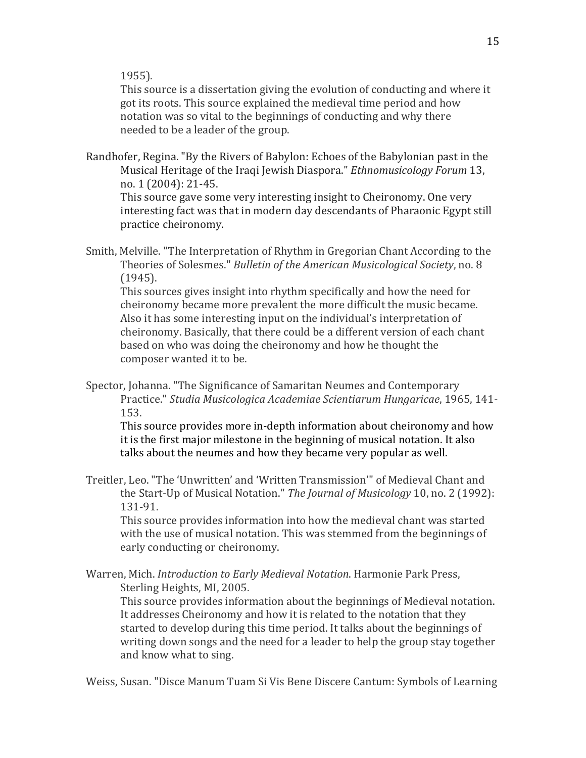1955).

This source is a dissertation giving the evolution of conducting and where it got its roots. This source explained the medieval time period and how notation was so vital to the beginnings of conducting and why there needed to be a leader of the group.

Randhofer, Regina. "By the Rivers of Babylon: Echoes of the Babylonian past in the Musical Heritage of the Iraqi Jewish Diaspora." *Ethnomusicology Forum* 13, no. 1 (2004): 21-45.

This source gave some very interesting insight to Cheironomy. One very interesting fact was that in modern day descendants of Pharaonic Egypt still practice cheironomy.

Smith, Melville. "The Interpretation of Rhythm in Gregorian Chant According to the Theories of Solesmes." *Bulletin of the American Musicological Society*, no. 8 (1945).

This sources gives insight into rhythm specifically and how the need for cheironomy became more prevalent the more difficult the music became. Also it has some interesting input on the individual's interpretation of cheironomy. Basically, that there could be a different version of each chant based on who was doing the cheironomy and how he thought the composer wanted it to be.

Spector, Johanna. "The Significance of Samaritan Neumes and Contemporary Practice." *Studia Musicologica Academiae Scientiarum Hungaricae*, 1965, 141- 153.

This source provides more in-depth information about cheironomy and how it is the first major milestone in the beginning of musical notation. It also talks about the neumes and how they became very popular as well.

Treitler, Leo. "The 'Unwritten' and 'Written Transmission'" of Medieval Chant and the Start-Up of Musical Notation." *The Journal of Musicology* 10, no. 2 (1992): 131-91.

This source provides information into how the medieval chant was started with the use of musical notation. This was stemmed from the beginnings of early conducting or cheironomy.

Warren, Mich. *Introduction to Early Medieval Notation*. Harmonie Park Press, Sterling Heights, MI, 2005.

This source provides information about the beginnings of Medieval notation. It addresses Cheironomy and how it is related to the notation that they started to develop during this time period. It talks about the beginnings of writing down songs and the need for a leader to help the group stay together and know what to sing.

Weiss, Susan. "Disce Manum Tuam Si Vis Bene Discere Cantum: Symbols of Learning